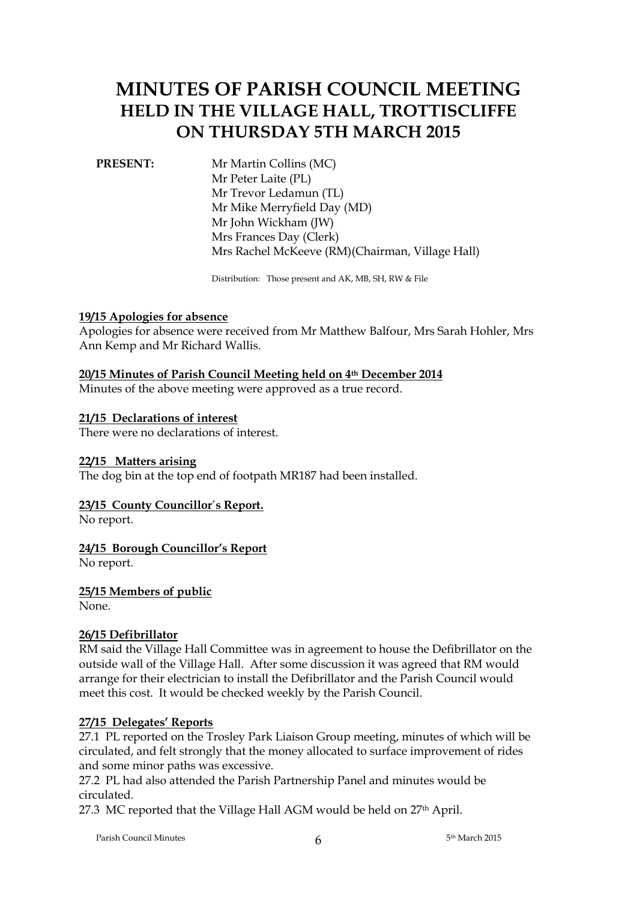# **MINUTES OF PARISH COUNCIL MEETING HELD IN THE VILLAGE HALL, TROTTISCLIFFE ON THURSDAY 5TH MARCH 2015**

**PRESENT:** Mr Martin Collins (MC) Mr Peter Laite (PL) Mr Trevor Ledamun (TL) Mr Mike Merryfield Day (MD) Mr John Wickham (JW) Mrs Frances Day (Clerk) Mrs Rachel McKeeve (RM)(Chairman, Village Hall)

Distribution: Those present and AK, MB, SH, RW & File

#### **19/15 Apologies for absence**

Apologies for absence were received from Mr Matthew Balfour, Mrs Sarah Hohler, Mrs Ann Kemp and Mr Richard Wallis.

#### **20/15 Minutes of Parish Council Meeting held on 4th December 2014**

Minutes of the above meeting were approved as a true record.

#### **21/15 Declarations of interest**

There were no declarations of interest.

#### **22/15 Matters arising**

The dog bin at the top end of footpath MR187 had been installed.

#### **23/15 County Councillor**'**s Report.**

No report.

#### **24/15 Borough Councillor's Report**

No report.

**25/15 Members of public**

None.

#### **26/15 Defibrillator**

RM said the Village Hall Committee was in agreement to house the Defibrillator on the outside wall of the Village Hall. After some discussion it was agreed that RM would arrange for their electrician to install the Defibrillator and the Parish Council would meet this cost. It would be checked weekly by the Parish Council.

#### **27/15 Delegates' Reports**

27.1 PL reported on the Trosley Park Liaison Group meeting, minutes of which will be circulated, and felt strongly that the money allocated to surface improvement of rides and some minor paths was excessive.

27.2 PL had also attended the Parish Partnership Panel and minutes would be circulated.

27.3 MC reported that the Village Hall AGM would be held on 27th April.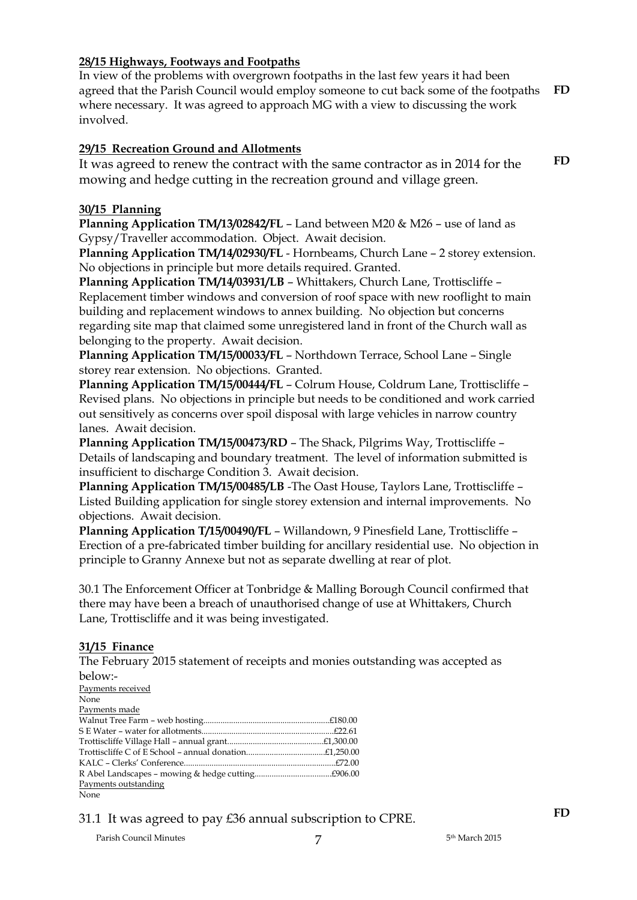## **28/15 Highways, Footways and Footpaths**

In view of the problems with overgrown footpaths in the last few years it had been agreed that the Parish Council would employ someone to cut back some of the footpaths where necessary. It was agreed to approach MG with a view to discussing the work involved. **FD**

## **29/15 Recreation Ground and Allotments**

It was agreed to renew the contract with the same contractor as in 2014 for the mowing and hedge cutting in the recreation ground and village green. **FD**

### **30/15 Planning**

**Planning Application TM/13/02842/FL** – Land between M20 & M26 – use of land as Gypsy/Traveller accommodation. Object. Await decision.

**Planning Application TM/14/02930/FL** - Hornbeams, Church Lane – 2 storey extension. No objections in principle but more details required. Granted.

**Planning Application TM/14/03931/LB** – Whittakers, Church Lane, Trottiscliffe – Replacement timber windows and conversion of roof space with new rooflight to main building and replacement windows to annex building. No objection but concerns regarding site map that claimed some unregistered land in front of the Church wall as belonging to the property. Await decision.

**Planning Application TM/15/00033/FL** – Northdown Terrace, School Lane – Single storey rear extension. No objections. Granted.

**Planning Application TM/15/00444/FL** – Colrum House, Coldrum Lane, Trottiscliffe – Revised plans. No objections in principle but needs to be conditioned and work carried out sensitively as concerns over spoil disposal with large vehicles in narrow country lanes. Await decision.

**Planning Application TM/15/00473/RD** – The Shack, Pilgrims Way, Trottiscliffe – Details of landscaping and boundary treatment. The level of information submitted is insufficient to discharge Condition 3. Await decision.

**Planning Application TM/15/00485/LB** -The Oast House, Taylors Lane, Trottiscliffe – Listed Building application for single storey extension and internal improvements. No objections. Await decision.

**Planning Application T/15/00490/FL** – Willandown, 9 Pinesfield Lane, Trottiscliffe – Erection of a pre-fabricated timber building for ancillary residential use. No objection in principle to Granny Annexe but not as separate dwelling at rear of plot.

30.1 The Enforcement Officer at Tonbridge & Malling Borough Council confirmed that there may have been a breach of unauthorised change of use at Whittakers, Church Lane, Trottiscliffe and it was being investigated.

#### **31/15 Finance**

The February 2015 statement of receipts and monies outstanding was accepted as below:-

| below:-              |  |
|----------------------|--|
| Payments received    |  |
| None                 |  |
| Payments made        |  |
|                      |  |
|                      |  |
|                      |  |
|                      |  |
|                      |  |
|                      |  |
| Payments outstanding |  |
| None                 |  |

31.1 It was agreed to pay £36 annual subscription to CPRE.

Parish Council Minutes 5 7

**FD**